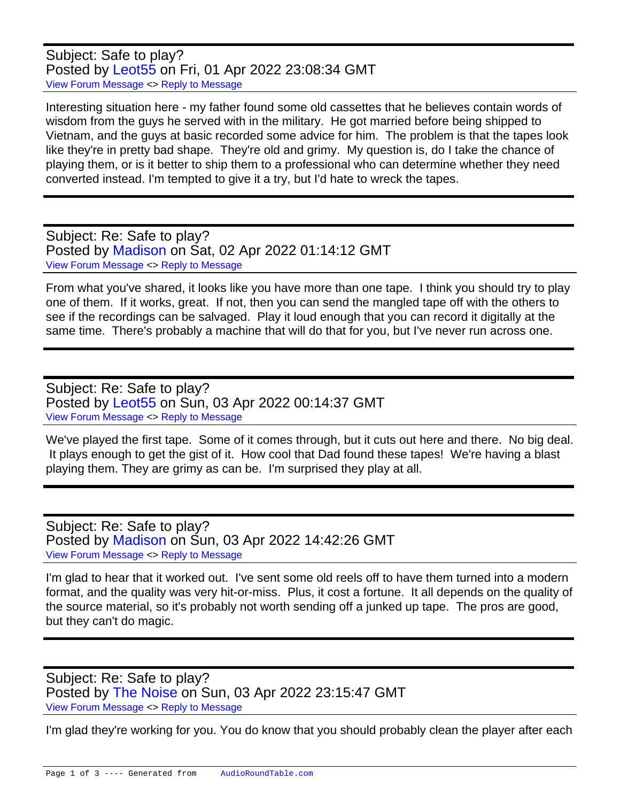Subject: Safe to play? Posted by [Leot55](https://audioroundtable.com/forum/index.php?t=usrinfo&id=7951) on Fri, 01 Apr 2022 23:08:34 GMT [View Forum Message](https://audioroundtable.com/forum/index.php?t=rview&th=23408&goto=95461#msg_95461) <> [Reply to Message](https://audioroundtable.com/forum/index.php?t=post&reply_to=95461)

Interesting situation here - my father found some old cassettes that he believes contain words of wisdom from the guys he served with in the military. He got married before being shipped to Vietnam, and the guys at basic recorded some advice for him. The problem is that the tapes look like they're in pretty bad shape. They're old and grimy. My question is, do I take the chance of playing them, or is it better to ship them to a professional who can determine whether they need converted instead. I'm tempted to give it a try, but I'd hate to wreck the tapes.

Subject: Re: Safe to play? Posted by [Madison](https://audioroundtable.com/forum/index.php?t=usrinfo&id=7956) on Sat, 02 Apr 2022 01:14:12 GMT [View Forum Message](https://audioroundtable.com/forum/index.php?t=rview&th=23408&goto=95462#msg_95462) <> [Reply to Message](https://audioroundtable.com/forum/index.php?t=post&reply_to=95462)

From what you've shared, it looks like you have more than one tape. I think you should try to play one of them. If it works, great. If not, then you can send the mangled tape off with the others to see if the recordings can be salvaged. Play it loud enough that you can record it digitally at the same time. There's probably a machine that will do that for you, but I've never run across one.

Subject: Re: Safe to play? Posted by [Leot55](https://audioroundtable.com/forum/index.php?t=usrinfo&id=7951) on Sun, 03 Apr 2022 00:14:37 GMT [View Forum Message](https://audioroundtable.com/forum/index.php?t=rview&th=23408&goto=95467#msg_95467) <> [Reply to Message](https://audioroundtable.com/forum/index.php?t=post&reply_to=95467)

We've played the first tape. Some of it comes through, but it cuts out here and there. No big deal. It plays enough to get the gist of it. How cool that Dad found these tapes! We're having a blast playing them. They are grimy as can be. I'm surprised they play at all.

Subject: Re: Safe to play? Posted by [Madison](https://audioroundtable.com/forum/index.php?t=usrinfo&id=7956) on Sun, 03 Apr 2022 14:42:26 GMT [View Forum Message](https://audioroundtable.com/forum/index.php?t=rview&th=23408&goto=95469#msg_95469) <> [Reply to Message](https://audioroundtable.com/forum/index.php?t=post&reply_to=95469)

I'm glad to hear that it worked out. I've sent some old reels off to have them turned into a modern format, and the quality was very hit-or-miss. Plus, it cost a fortune. It all depends on the quality of the source material, so it's probably not worth sending off a junked up tape. The pros are good, but they can't do magic.

Subject: Re: Safe to play? Posted by [The Noise](https://audioroundtable.com/forum/index.php?t=usrinfo&id=4981) on Sun, 03 Apr 2022 23:15:47 GMT [View Forum Message](https://audioroundtable.com/forum/index.php?t=rview&th=23408&goto=95474#msg_95474) <> [Reply to Message](https://audioroundtable.com/forum/index.php?t=post&reply_to=95474)

I'm glad they're working for you. You do know that you should probably clean the player after each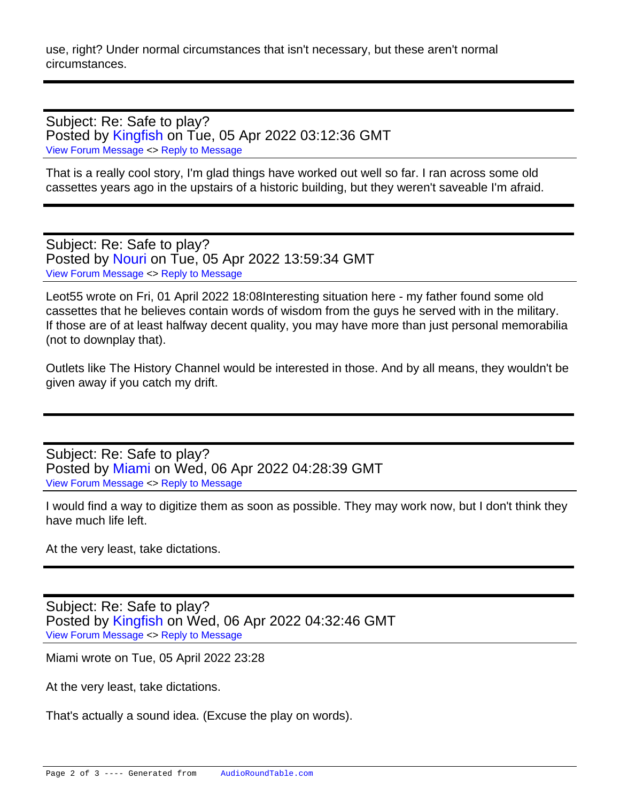use, right? Under normal circumstances that isn't necessary, but these aren't normal circumstances.

Subject: Re: Safe to play? Posted by [Kingfish](https://audioroundtable.com/forum/index.php?t=usrinfo&id=5030) on Tue, 05 Apr 2022 03:12:36 GMT [View Forum Message](https://audioroundtable.com/forum/index.php?t=rview&th=23408&goto=95484#msg_95484) <> [Reply to Message](https://audioroundtable.com/forum/index.php?t=post&reply_to=95484)

That is a really cool story, I'm glad things have worked out well so far. I ran across some old cassettes years ago in the upstairs of a historic building, but they weren't saveable I'm afraid.

Subject: Re: Safe to play? Posted by [Nouri](https://audioroundtable.com/forum/index.php?t=usrinfo&id=5026) on Tue, 05 Apr 2022 13:59:34 GMT [View Forum Message](https://audioroundtable.com/forum/index.php?t=rview&th=23408&goto=95491#msg_95491) <> [Reply to Message](https://audioroundtable.com/forum/index.php?t=post&reply_to=95491)

Leot55 wrote on Fri, 01 April 2022 18:08Interesting situation here - my father found some old cassettes that he believes contain words of wisdom from the guys he served with in the military. If those are of at least halfway decent quality, you may have more than just personal memorabilia (not to downplay that).

Outlets like The History Channel would be interested in those. And by all means, they wouldn't be given away if you catch my drift.

Subject: Re: Safe to play? Posted by [Miami](https://audioroundtable.com/forum/index.php?t=usrinfo&id=4626) on Wed, 06 Apr 2022 04:28:39 GMT [View Forum Message](https://audioroundtable.com/forum/index.php?t=rview&th=23408&goto=95500#msg_95500) <> [Reply to Message](https://audioroundtable.com/forum/index.php?t=post&reply_to=95500)

I would find a way to digitize them as soon as possible. They may work now, but I don't think they have much life left.

At the very least, take dictations.

Subject: Re: Safe to play? Posted by [Kingfish](https://audioroundtable.com/forum/index.php?t=usrinfo&id=5030) on Wed, 06 Apr 2022 04:32:46 GMT [View Forum Message](https://audioroundtable.com/forum/index.php?t=rview&th=23408&goto=95501#msg_95501) <> [Reply to Message](https://audioroundtable.com/forum/index.php?t=post&reply_to=95501)

Miami wrote on Tue, 05 April 2022 23:28

At the very least, take dictations.

That's actually a sound idea. (Excuse the play on words).